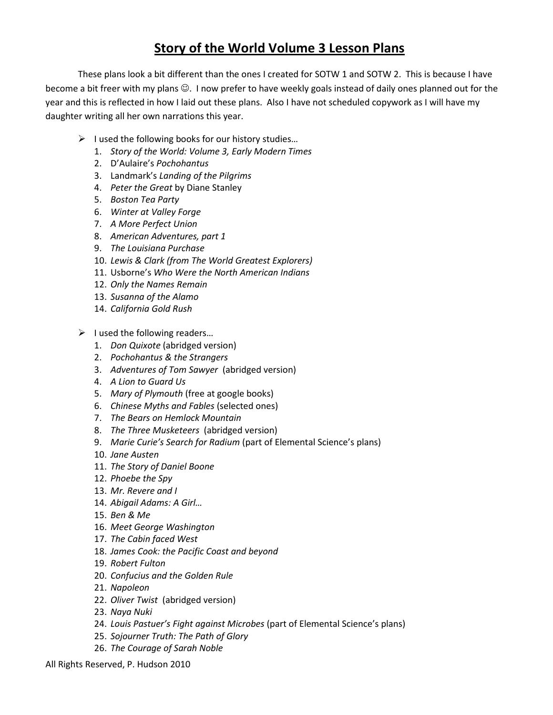## Story of the World Volume 3 Lesson Plans

 These plans look a bit different than the ones I created for SOTW 1 and SOTW 2. This is because I have become a bit freer with my plans  $\odot$ . I now prefer to have weekly goals instead of daily ones planned out for the year and this is reflected in how I laid out these plans. Also I have not scheduled copywork as I will have my daughter writing all her own narrations this year.

- > I used the following books for our history studies...
	- 1. Story of the World: Volume 3, Early Modern Times
	- 2. D'Aulaire's Pochohantus
	- 3. Landmark's Landing of the Pilgrims
	- 4. Peter the Great by Diane Stanley
	- 5. Boston Tea Party
	- 6. Winter at Valley Forge
	- 7. A More Perfect Union
	- 8. American Adventures, part 1
	- 9. The Louisiana Purchase
	- 10. Lewis & Clark (from The World Greatest Explorers)
	- 11. Usborne's Who Were the North American Indians
	- 12. Only the Names Remain
	- 13. Susanna of the Alamo
	- 14. California Gold Rush
- > I used the following readers...
	- 1. Don Quixote (abridged version)
	- 2. Pochohantus & the Strangers
	- 3. Adventures of Tom Sawyer (abridged version)
	- 4. A Lion to Guard Us
	- 5. Mary of Plymouth (free at google books)
	- 6. Chinese Myths and Fables (selected ones)
	- 7. The Bears on Hemlock Mountain
	- 8. The Three Musketeers (abridged version)
	- 9. Marie Curie's Search for Radium (part of Elemental Science's plans)
	- 10. Jane Austen
	- 11. The Story of Daniel Boone
	- 12. Phoebe the Spy
	- 13. Mr. Revere and I
	- 14. Abigail Adams: A Girl…
	- 15. Ben & Me
	- 16. Meet George Washington
	- 17. The Cabin faced West
	- 18. James Cook: the Pacific Coast and beyond
	- 19. Robert Fulton
	- 20. Confucius and the Golden Rule
	- 21. Napoleon
	- 22. Oliver Twist (abridged version)
	- 23. Naya Nuki
	- 24. Louis Pastuer's Fight against Microbes (part of Elemental Science's plans)
	- 25. Sojourner Truth: The Path of Glory
	- 26. The Courage of Sarah Noble

All Rights Reserved, P. Hudson 2010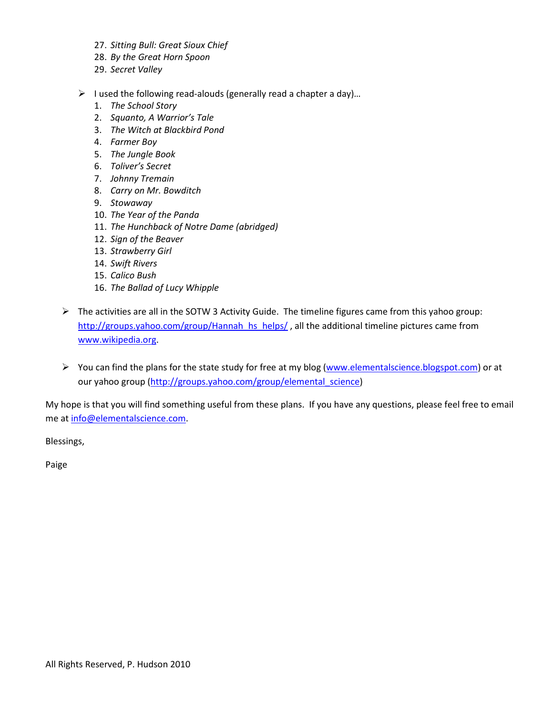- 27. Sitting Bull: Great Sioux Chief
- 28. By the Great Horn Spoon
- 29. Secret Valley
- $\triangleright$  I used the following read-alouds (generally read a chapter a day)...
	- 1. The School Story
	- 2. Squanto, A Warrior's Tale
	- 3. The Witch at Blackbird Pond
	- 4. Farmer Boy
	- 5. The Jungle Book
	- 6. Toliver's Secret
	- 7. Johnny Tremain
	- 8. Carry on Mr. Bowditch
	- 9. Stowaway
	- 10. The Year of the Panda
	- 11. The Hunchback of Notre Dame (abridged)
	- 12. Sign of the Beaver
	- 13. Strawberry Girl
	- 14. Swift Rivers
	- 15. Calico Bush
	- 16. The Ballad of Lucy Whipple
- > The activities are all in the SOTW 3 Activity Guide. The timeline figures came from this yahoo group: http://groups.yahoo.com/group/Hannah\_hs\_helps/, all the additional timeline pictures came from www.wikipedia.org.
- > You can find the plans for the state study for free at my blog (www.elementalscience.blogspot.com) or at our yahoo group (http://groups.yahoo.com/group/elemental\_science)

My hope is that you will find something useful from these plans. If you have any questions, please feel free to email me at info@elementalscience.com.

Blessings,

Paige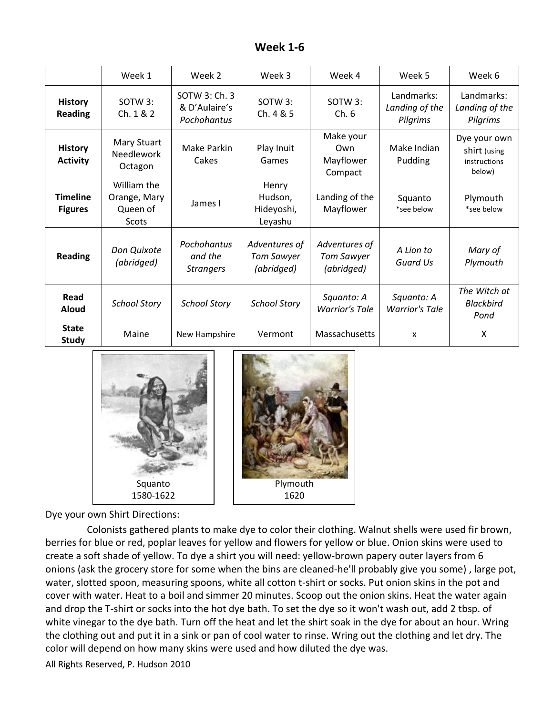| <b>Week 1-6</b> |  |
|-----------------|--|
|-----------------|--|

|                                   | Week 1                                           | Week 2                                        | Week 3                                           | Week 4                                           | Week 5                                   | Week 6                                                 |
|-----------------------------------|--------------------------------------------------|-----------------------------------------------|--------------------------------------------------|--------------------------------------------------|------------------------------------------|--------------------------------------------------------|
| <b>History</b><br><b>Reading</b>  | SOTW 3:<br>Ch. 1 & 2                             | SOTW 3: Ch. 3<br>& D'Aulaire's<br>Pochohantus | SOTW 3:<br>Ch. 4 & 5                             | SOTW 3:<br>Ch.6                                  | Landmarks:<br>Landing of the<br>Pilgrims | Landmarks:<br>Landing of the<br>Pilgrims               |
| <b>History</b><br><b>Activity</b> | Mary Stuart<br><b>Needlework</b><br>Octagon      | Make Parkin<br>Cakes                          | Play Inuit<br>Games                              | Make your<br>Own<br>Mayflower<br>Compact         | Make Indian<br>Pudding                   | Dye your own<br>shirt (using<br>instructions<br>below) |
| <b>Timeline</b><br><b>Figures</b> | William the<br>Orange, Mary<br>Queen of<br>Scots | James I                                       | Henry<br>Hudson,<br>Hideyoshi,<br>Leyashu        | Landing of the<br>Mayflower                      | Squanto<br>*see below                    | Plymouth<br>*see below                                 |
| <b>Reading</b>                    | Don Quixote<br>(abridged)                        | Pochohantus<br>and the<br><b>Strangers</b>    | Adventures of<br><b>Tom Sawyer</b><br>(abridged) | Adventures of<br><b>Tom Sawyer</b><br>(abridged) | A Lion to<br><b>Guard Us</b>             | Mary of<br>Plymouth                                    |
| Read<br>Aloud                     | <b>School Story</b>                              | <b>School Story</b>                           | <b>School Story</b>                              | Squanto: A<br><b>Warrior's Tale</b>              | Squanto: A<br><b>Warrior's Tale</b>      | The Witch at<br><b>Blackbird</b><br>Pond               |
| <b>State</b><br><b>Study</b>      | Maine                                            | New Hampshire                                 | Vermont                                          | Massachusetts                                    | x                                        | Χ                                                      |



Dye your own Shirt Directions:

Colonists gathered plants to make dye to color their clothing. Walnut shells were used fir brown, berries for blue or red, poplar leaves for yellow and flowers for yellow or blue. Onion skins were used to berries for blue or red, poplar leaves for yellow and flowers for yellow or blue. Onion skins were use<br>create a soft shade of yellow. To dye a shirt you will need: yellow-brown papery outer layers from 6 onions (ask the grocery store for some when the bins are cleaned-he'll probably give you some), large pot, water, slotted spoon, measuring spoons, white all cotton t-shirt or socks. Put onion skins in the cover with water. Heat to a boil and simmer 20 minutes. Scoop out the onion skins. Heat the water again<br>and drop the T-shirt or socks into the hot dye bath. To set the dye so it won't wash out, add 2 tbsp. of<br>white vinegar and drop the T-shirt or socks into the hot dye bath. To set the dye so it won't wash out, add 2 tbsp. of white vinegar to the dye bath. Turn off the heat and let the shirt soak in the the clothing out and put it in a sink or pan of cool water to rinse. Wring out the clothing and let dry. The color will depend on how many skins were used and how diluted the dye was. Squanto<br>
1580-1622<br>
Dye your own Shirt Directions:<br>
Colonists gathered plants to make dye to color their clothing. Walnut shells were used<br>
berries for blue or red, poplar leaves for yellow and flowers for yellow or blue. *rellow-brown papery outer layers from 6*<br>leaned-he'll probably give you some) , large p<br>shirt or socks. Put onion skins in the pot and

1620

All Rights Reserved, P. Hudson 2010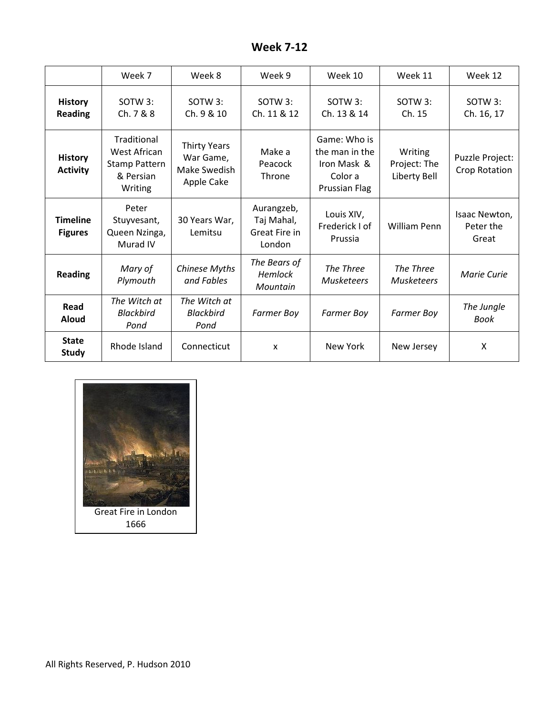| <b>Week 7-12</b> |  |
|------------------|--|
|------------------|--|

|                                   | Week 7                                                                      | Week 8                                                         | Week 9                                              | Week 10                                                                   | Week 11                                 | Week 12                             |
|-----------------------------------|-----------------------------------------------------------------------------|----------------------------------------------------------------|-----------------------------------------------------|---------------------------------------------------------------------------|-----------------------------------------|-------------------------------------|
| <b>History</b><br><b>Reading</b>  | SOTW 3:<br>Ch. 7 & 8                                                        | $SOTW3$ :<br>Ch. 9 & 10                                        | SOTW 3:<br>Ch. 11 & 12                              | $SOTW3$ :<br>Ch. 13 & 14                                                  | $SOTW3$ :<br>Ch. 15                     | SOTW 3:<br>Ch. 16, 17               |
| <b>History</b><br><b>Activity</b> | Traditional<br>West African<br><b>Stamp Pattern</b><br>& Persian<br>Writing | <b>Thirty Years</b><br>War Game,<br>Make Swedish<br>Apple Cake | Make a<br>Peacock<br>Throne                         | Game: Who is<br>the man in the<br>Iron Mask &<br>Color a<br>Prussian Flag | Writing<br>Project: The<br>Liberty Bell | Puzzle Project:<br>Crop Rotation    |
| <b>Timeline</b><br><b>Figures</b> | Peter<br>Stuyvesant,<br>Queen Nzinga,<br>Murad IV                           | 30 Years War,<br>Lemitsu                                       | Aurangzeb,<br>Taj Mahal,<br>Great Fire in<br>London | Louis XIV,<br>Frederick I of<br>Prussia                                   | William Penn                            | Isaac Newton,<br>Peter the<br>Great |
| <b>Reading</b>                    | Mary of<br>Plymouth                                                         | Chinese Myths<br>and Fables                                    | The Bears of<br><b>Hemlock</b><br>Mountain          | The Three<br><b>Musketeers</b>                                            | The Three<br>Musketeers                 | Marie Curie                         |
| Read<br><b>Aloud</b>              | The Witch at<br><b>Blackbird</b><br>Pond                                    | The Witch at<br><b>Blackbird</b><br>Pond                       | <b>Farmer Boy</b>                                   | <b>Farmer Boy</b>                                                         | <b>Farmer Boy</b>                       | The Jungle<br>Book                  |
| <b>State</b><br><b>Study</b>      | Rhode Island                                                                | Connecticut                                                    | $\boldsymbol{\mathsf{x}}$                           | New York                                                                  | New Jersey                              | X                                   |

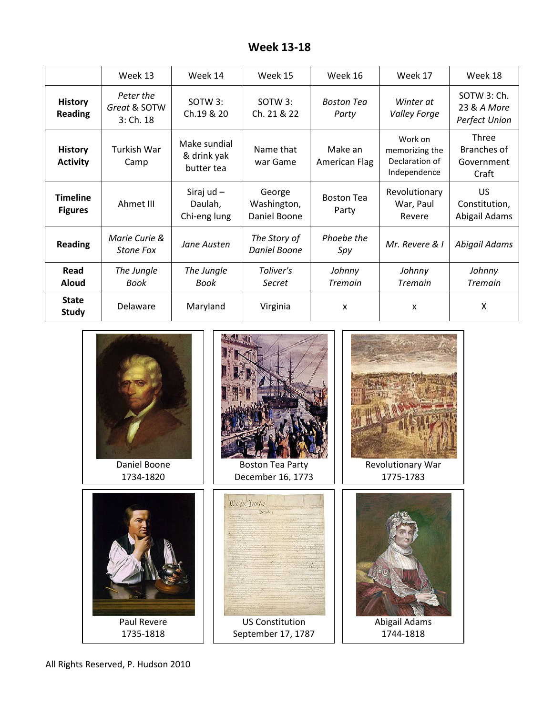| <b>Week 13-18</b> |  |
|-------------------|--|
|-------------------|--|

|                                   | Week 13                                    | Week 14                                   | Week 15                               | Week 16                    | Week 17                                                     | Week 18                                     |
|-----------------------------------|--------------------------------------------|-------------------------------------------|---------------------------------------|----------------------------|-------------------------------------------------------------|---------------------------------------------|
| <b>History</b><br><b>Reading</b>  | Peter the<br>Great & SOTW<br>$3:$ Ch. $18$ | SOTW 3:<br>Ch.19 & 20                     | SOTW 3:<br>Ch. 21 & 22                | <b>Boston Tea</b><br>Party | Winter at<br><b>Valley Forge</b>                            | SOTW 3: Ch.<br>23 & A More<br>Perfect Union |
| <b>History</b><br><b>Activity</b> | Turkish War<br>Camp                        | Make sundial<br>& drink yak<br>butter tea | Name that<br>war Game                 | Make an<br>American Flag   | Work on<br>memorizing the<br>Declaration of<br>Independence | Three<br>Branches of<br>Government<br>Craft |
| <b>Timeline</b><br><b>Figures</b> | Ahmet III                                  | Siraj ud $-$<br>Daulah,<br>Chi-eng lung   | George<br>Washington,<br>Daniel Boone | <b>Boston Tea</b><br>Party | Revolutionary<br>War, Paul<br>Revere                        | <b>US</b><br>Constitution,<br>Abigail Adams |
| <b>Reading</b>                    | Marie Curie &<br>Stone Fox                 | Jane Austen                               | The Story of<br>Daniel Boone          | Phoebe the<br>Spy          | Mr. Revere & I                                              | Abigail Adams                               |
| Read<br><b>Aloud</b>              | The Jungle<br>Book                         | The Jungle<br>Book                        | Toliver's<br>Secret                   | Johnny<br><b>Tremain</b>   | Johnny<br><b>Tremain</b>                                    | Johnny<br><b>Tremain</b>                    |
| <b>State</b><br><b>Study</b>      | Delaware                                   | Maryland                                  | Virginia                              | x                          | x                                                           | X                                           |



All Rights Reserved, P. Hudson 2010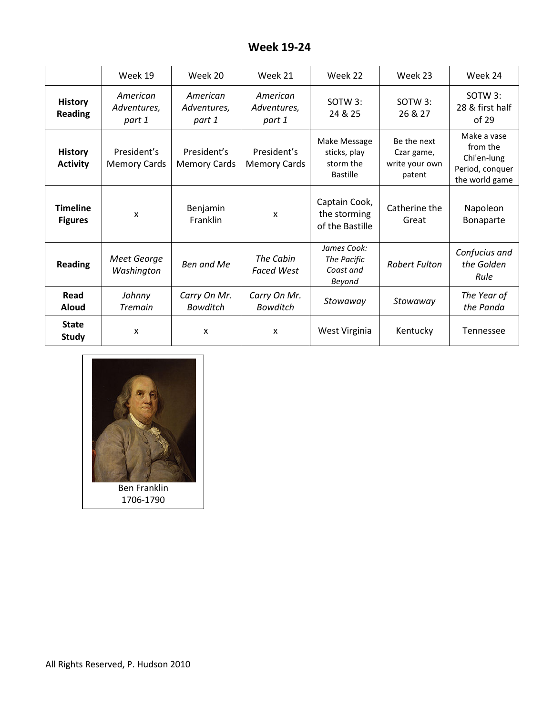## Week 19-24

|                                   | Week 19                            | Week 20                            | Week 21                            | Week 22                                               | Week 23                                               | Week 24                                                                     |
|-----------------------------------|------------------------------------|------------------------------------|------------------------------------|-------------------------------------------------------|-------------------------------------------------------|-----------------------------------------------------------------------------|
| <b>History</b><br><b>Reading</b>  | American<br>Adventures,<br>part 1  | American<br>Adventures,<br>part 1  | American<br>Adventures,<br>part 1  | SOTW 3:<br>24 & 25                                    | SOTW 3:<br>26 & 27                                    | SOTW 3:<br>28 & first half<br>of 29                                         |
| <b>History</b><br><b>Activity</b> | President's<br><b>Memory Cards</b> | President's<br><b>Memory Cards</b> | President's<br><b>Memory Cards</b> | Make Message<br>sticks, play<br>storm the<br>Bastille | Be the next<br>Czar game,<br>write your own<br>patent | Make a vase<br>from the<br>Chi'en-lung<br>Period, conquer<br>the world game |
| <b>Timeline</b><br><b>Figures</b> | X                                  | Benjamin<br>Franklin               | $\mathsf{x}$                       | Captain Cook,<br>the storming<br>of the Bastille      | Catherine the<br>Great                                | Napoleon<br>Bonaparte                                                       |
| <b>Reading</b>                    | Meet George<br>Washington          | Ben and Me                         | The Cabin<br><b>Faced West</b>     | James Cook:<br>The Pacific<br>Coast and<br>Beyond     | <b>Robert Fulton</b>                                  | Confucius and<br>the Golden<br>Rule                                         |
| Read<br><b>Aloud</b>              | Johnny<br><b>Tremain</b>           | Carry On Mr.<br><b>Bowditch</b>    | Carry On Mr.<br><b>Bowditch</b>    | Stowaway                                              | Stowaway                                              | The Year of<br>the Panda                                                    |
| <b>State</b><br><b>Study</b>      | X                                  | X                                  | X                                  | West Virginia                                         | Kentucky                                              | <b>Tennessee</b>                                                            |

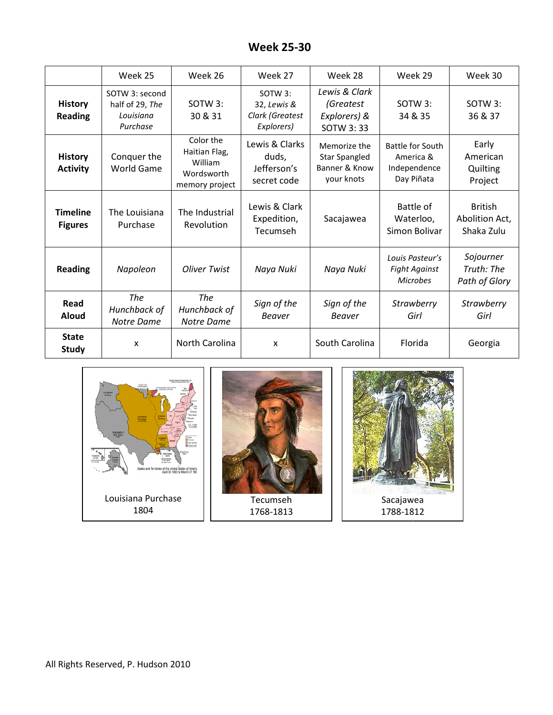| <b>Week 25-30</b> |  |
|-------------------|--|
|-------------------|--|

|                                   | Week 25                                                    | Week 26                                                               | Week 27                                                             | Week 28                                                             | Week 29                                                            | Week 30                                        |
|-----------------------------------|------------------------------------------------------------|-----------------------------------------------------------------------|---------------------------------------------------------------------|---------------------------------------------------------------------|--------------------------------------------------------------------|------------------------------------------------|
| <b>History</b><br><b>Reading</b>  | SOTW 3: second<br>half of 29, The<br>Louisiana<br>Purchase | $SOTW3$ :<br>30 & 31                                                  | SOTW <sub>3</sub> :<br>32, Lewis &<br>Clark (Greatest<br>Explorers) | Lewis & Clark<br>(Greatest<br>Explorers) &<br>SOTW 3:33             | $SOTW3$ :<br>34 & 35                                               | SOTW 3:<br>36 & 37                             |
| <b>History</b><br><b>Activity</b> | Conquer the<br>World Game                                  | Color the<br>Haitian Flag,<br>William<br>Wordsworth<br>memory project | Lewis & Clarks<br>duds,<br>Jefferson's<br>secret code               | Memorize the<br><b>Star Spangled</b><br>Banner & Know<br>your knots | <b>Battle for South</b><br>America &<br>Independence<br>Day Piñata | Early<br>American<br>Quilting<br>Project       |
| <b>Timeline</b><br><b>Figures</b> | The Louisiana<br>Purchase                                  | The Industrial<br>Revolution                                          | Lewis & Clark<br>Expedition,<br>Tecumseh                            | Sacajawea                                                           | Battle of<br>Waterloo,<br>Simon Bolivar                            | <b>British</b><br>Abolition Act,<br>Shaka Zulu |
| <b>Reading</b>                    | Napoleon                                                   | <b>Oliver Twist</b>                                                   | Naya Nuki                                                           | Naya Nuki                                                           | Louis Pasteur's<br><b>Fight Against</b><br><b>Microbes</b>         | Sojourner<br>Truth: The<br>Path of Glory       |
| Read<br><b>Aloud</b>              | <b>The</b><br>Hunchback of<br>Notre Dame                   | <b>The</b><br>Hunchback of<br><b>Notre Dame</b>                       | Sign of the<br><b>Beaver</b>                                        | Sign of the<br><b>Beaver</b>                                        | <b>Strawberry</b><br>Girl                                          | <b>Strawberry</b><br>Girl                      |
| <b>State</b><br><b>Study</b>      | X                                                          | North Carolina                                                        | X                                                                   | South Carolina                                                      | Florida                                                            | Georgia                                        |